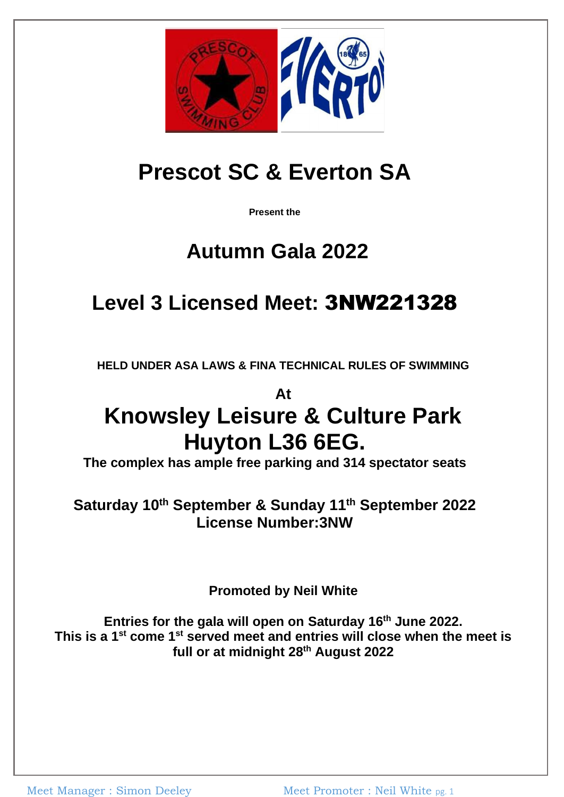

# **Prescot SC & Everton SA**

**Present the**

### **Autumn Gala 2022**

## **Level 3 Licensed Meet:** [3NW2](https://www.swimmingresults.org/licensed_meets/meet.php?meet=32333&page=1®ion=NW&level=3S&month=3&year=2018)21328

**HELD UNDER ASA LAWS & FINA TECHNICAL RULES OF SWIMMING**

**At**

# **Knowsley Leisure & Culture Park Huyton L36 6EG.**

**The complex has ample free parking and 314 spectator seats**

**Saturday 10 th September & Sunday 11 th September 2022 License Number:3NW**

**Promoted by Neil White**

**Entries for the gala will open on Saturday 16th June 2022. This is a 1st come 1st served meet and entries will close when the meet is full or at midnight 28th August 2022**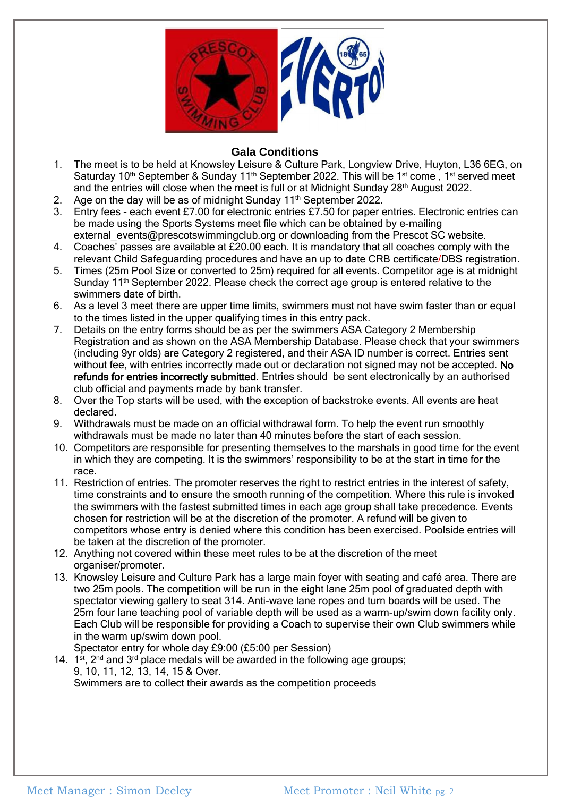

#### **Gala Conditions**

- 1. The meet is to be held at Knowsley Leisure & Culture Park, Longview Drive, Huyton, L36 6EG, on Saturday 10<sup>th</sup> September & Sunday 11<sup>th</sup> September 2022. This will be 1<sup>st</sup> come, 1<sup>st</sup> served meet and the entries will close when the meet is full or at Midnight Sunday 28<sup>th</sup> August 2022.
- 2. Age on the day will be as of midnight Sunday 11<sup>th</sup> September 2022.
- 3. Entry fees each event £7.00 for electronic entries £7.50 for paper entries. Electronic entries can be made using the Sports Systems meet file which can be obtained by e-mailing external\_events@prescotswimmingclub.org or downloading from the Prescot SC website.
- 4. Coaches' passes are available at £20.00 each. It is mandatory that all coaches comply with the relevant Child Safeguarding procedures and have an up to date CRB certificate/DBS registration.
- 5. Times (25m Pool Size or converted to 25m) required for all events. Competitor age is at midnight Sunday 11<sup>th</sup> September 2022. Please check the correct age group is entered relative to the swimmers date of birth.
- 6. As a level 3 meet there are upper time limits, swimmers must not have swim faster than or equal to the times listed in the upper qualifying times in this entry pack.
- 7. Details on the entry forms should be as per the swimmers ASA Category 2 Membership Registration and as shown on the ASA Membership Database. Please check that your swimmers (including 9yr olds) are Category 2 registered, and their ASA ID number is correct. Entries sent without fee, with entries incorrectly made out or declaration not signed may not be accepted. No refunds for entries incorrectly submitted. Entries should be sent electronically by an authorised club official and payments made by bank transfer.
- 8. Over the Top starts will be used, with the exception of backstroke events. All events are heat declared.
- 9. Withdrawals must be made on an official withdrawal form. To help the event run smoothly withdrawals must be made no later than 40 minutes before the start of each session.
- 10. Competitors are responsible for presenting themselves to the marshals in good time for the event in which they are competing. It is the swimmers' responsibility to be at the start in time for the race.
- 11. Restriction of entries. The promoter reserves the right to restrict entries in the interest of safety, time constraints and to ensure the smooth running of the competition. Where this rule is invoked the swimmers with the fastest submitted times in each age group shall take precedence. Events chosen for restriction will be at the discretion of the promoter. A refund will be given to competitors whose entry is denied where this condition has been exercised. Poolside entries will be taken at the discretion of the promoter.
- 12. Anything not covered within these meet rules to be at the discretion of the meet organiser/promoter.
- 13. Knowsley Leisure and Culture Park has a large main foyer with seating and café area. There are two 25m pools. The competition will be run in the eight lane 25m pool of graduated depth with spectator viewing gallery to seat 314. Anti-wave lane ropes and turn boards will be used. The 25m four lane teaching pool of variable depth will be used as a warm-up/swim down facility only. Each Club will be responsible for providing a Coach to supervise their own Club swimmers while in the warm up/swim down pool.

Spectator entry for whole day £9:00 (£5:00 per Session)

14. 1<sup>st</sup>, 2<sup>nd</sup> and 3<sup>rd</sup> place medals will be awarded in the following age groups; 9, 10, 11, 12, 13, 14, 15 & Over. Swimmers are to collect their awards as the competition proceeds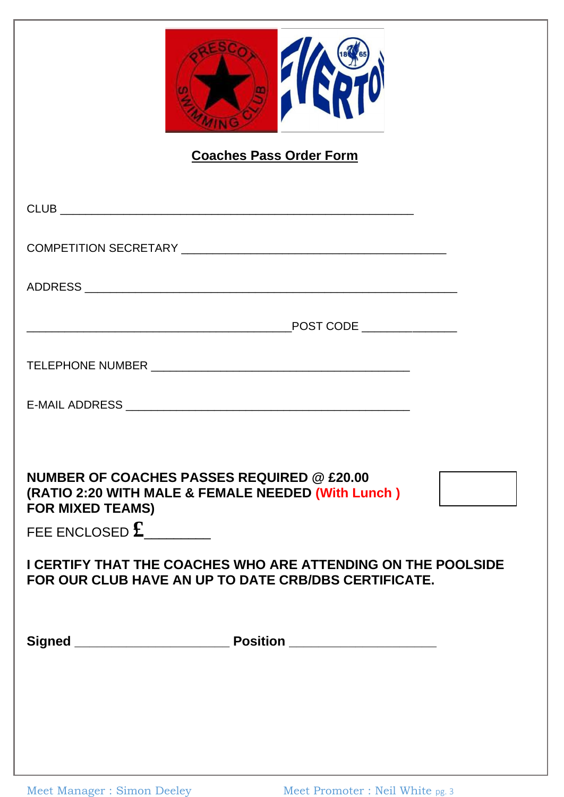| <b>Coaches Pass Order Form</b>                                                                                                                                                                                                                                                                         |  |
|--------------------------------------------------------------------------------------------------------------------------------------------------------------------------------------------------------------------------------------------------------------------------------------------------------|--|
|                                                                                                                                                                                                                                                                                                        |  |
|                                                                                                                                                                                                                                                                                                        |  |
|                                                                                                                                                                                                                                                                                                        |  |
|                                                                                                                                                                                                                                                                                                        |  |
|                                                                                                                                                                                                                                                                                                        |  |
|                                                                                                                                                                                                                                                                                                        |  |
| <b>NUMBER OF COACHES PASSES REQUIRED @ £20.00</b><br>(RATIO 2:20 WITH MALE & FEMALE NEEDED (With Lunch)<br><b>FOR MIXED TEAMS)</b><br>FEE ENCLOSED $\mathbf{\pounds}$ ________<br>I CERTIFY THAT THE COACHES WHO ARE ATTENDING ON THE POOLSIDE<br>FOR OUR CLUB HAVE AN UP TO DATE CRB/DBS CERTIFICATE. |  |
|                                                                                                                                                                                                                                                                                                        |  |
|                                                                                                                                                                                                                                                                                                        |  |
|                                                                                                                                                                                                                                                                                                        |  |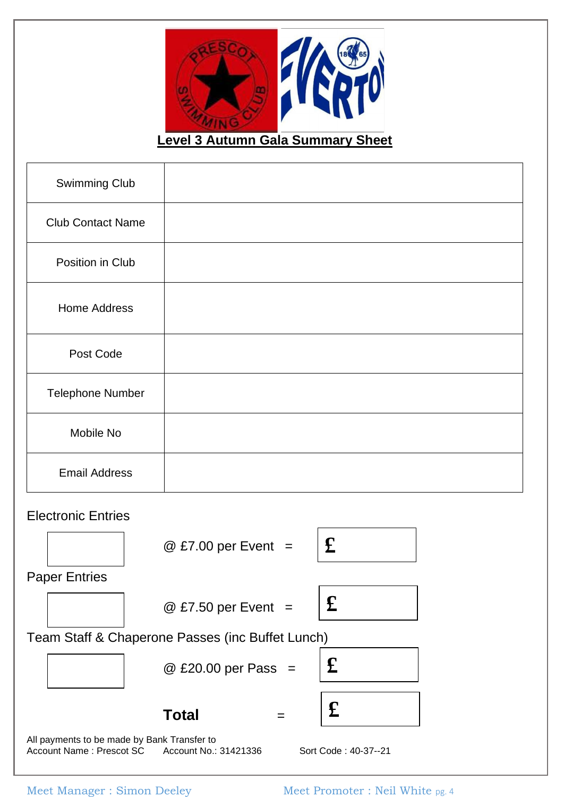

**Level 3 Autumn Gala Summary Sheet** 

| <b>Swimming Club</b>                             |                     |                           |  |
|--------------------------------------------------|---------------------|---------------------------|--|
| <b>Club Contact Name</b>                         |                     |                           |  |
| Position in Club                                 |                     |                           |  |
| <b>Home Address</b>                              |                     |                           |  |
| Post Code                                        |                     |                           |  |
| <b>Telephone Number</b>                          |                     |                           |  |
| Mobile No                                        |                     |                           |  |
| <b>Email Address</b>                             |                     |                           |  |
| <b>Electronic Entries</b>                        |                     |                           |  |
|                                                  | @ £7.00 per Event = | $\mathbf f$               |  |
| <b>Paper Entries</b>                             |                     |                           |  |
|                                                  | @ £7.50 per Event = | $\boldsymbol{\mathbf{f}}$ |  |
| Team Staff & Chaperone Passes (inc Buffet Lunch) |                     |                           |  |
|                                                  | @ £20.00 per Pass = | $\mathbf f$               |  |

All payments to be made by Bank Transfer to Account Name : Prescot SC Account No.: 31421336 Sort Code : 40-37--21

**Total** =

**£**

Meet Manager : Simon Deeley Meet Promoter : Neil White pg. 4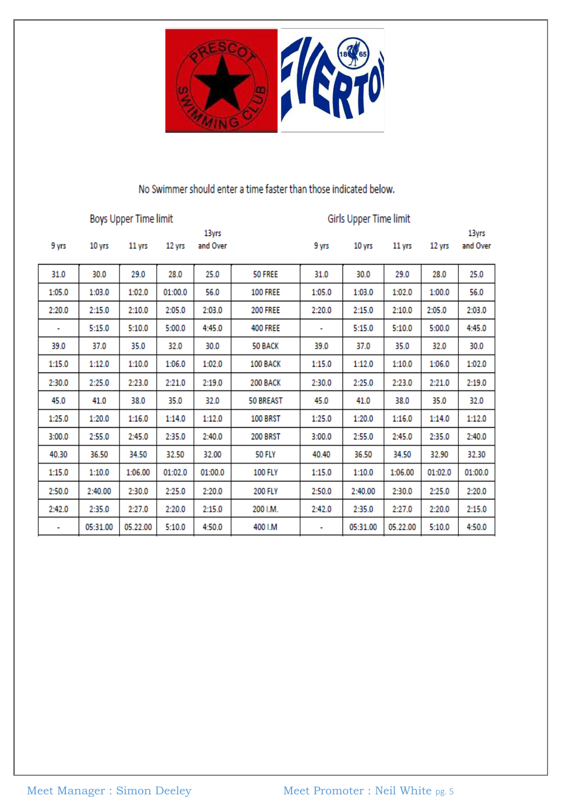

### No Swimmer should enter a time faster than those indicated below.

| Boys Upper Time limit |          |          |         |                   | Girls Upper Time limit |        |          |          |         |                   |
|-----------------------|----------|----------|---------|-------------------|------------------------|--------|----------|----------|---------|-------------------|
| 9 yrs                 | 10 yrs   | 11 yrs   | 12 yrs  | 13yrs<br>and Over |                        | 9 yrs  | 10 yrs   | 11 yrs   | 12 yrs  | 13yrs<br>and Over |
| 31.0                  | 30.0     | 29.0     | 28.0    | 25.0              | 50 FREE                | 31.0   | 30.0     | 29.0     | 28.0    | 25.0              |
| 1:05.0                | 1:03.0   | 1:02.0   | 01:00.0 | 56.0              | <b>100 FREE</b>        | 1:05.0 | 1:03.0   | 1:02.0   | 1:00.0  | 56.0              |
| 2:20.0                | 2:15.0   | 2:10.0   | 2:05.0  | 2:03.0            | <b>200 FREE</b>        | 2:20.0 | 2:15.0   | 2:10.0   | 2:05.0  | 2:03.0            |
|                       | 5:15.0   | 5:10.0   | 5:00.0  | 4:45.0            | <b>400 FREE</b>        | ۰      | 5:15.0   | 5:10.0   | 5:00.0  | 4:45.0            |
| 39.0                  | 37.0     | 35.0     | 32.0    | 30.0              | 50 BACK                | 39.0   | 37.0     | 35.0     | 32.0    | 30.0              |
| 1:15.0                | 1:12.0   | 1:10.0   | 1:06.0  | 1:02.0            | 100 BACK               | 1:15.0 | 1:12.0   | 1:10.0   | 1:06.0  | 1:02.0            |
| 2:30.0                | 2:25.0   | 2:23.0   | 2:21.0  | 2:19.0            | 200 BACK               | 2:30.0 | 2:25.0   | 2:23.0   | 2:21.0  | 2:19.0            |
| 45.0                  | 41.0     | 38.0     | 35.0    | 32.0              | <b>50 BREAST</b>       | 45.0   | 41.0     | 38.0     | 35.0    | 32.0              |
| 1:25.0                | 1:20.0   | 1:16.0   | 1:14.0  | 1:12.0            | 100 BRST               | 1:25.0 | 1:20.0   | 1:16.0   | 1:14.0  | 1:12.0            |
| 3:00.0                | 2:55.0   | 2:45.0   | 2:35.0  | 2:40.0            | <b>200 BRST</b>        | 3:00.0 | 2:55.0   | 2:45.0   | 2:35.0  | 2:40.0            |
| 40.30                 | 36.50    | 34.50    | 32.50   | 32.00             | <b>50 FLY</b>          | 40.40  | 36.50    | 34.50    | 32.90   | 32.30             |
| 1:15.0                | 1:10.0   | 1:06.00  | 01:02.0 | 01:00.0           | <b>100 FLY</b>         | 1:15.0 | 1:10.0   | 1:06.00  | 01:02.0 | 01:00.0           |
| 2:50.0                | 2:40.00  | 2:30.0   | 2:25.0  | 2:20.0            | <b>200 FLY</b>         | 2:50.0 | 2:40.00  | 2:30.0   | 2:25.0  | 2:20.0            |
| 2:42.0                | 2:35.0   | 2:27.0   | 2:20.0  | 2:15.0            | 200 I.M.               | 2:42.0 | 2:35.0   | 2:27.0   | 2:20.0  | 2:15.0            |
| ٠                     | 05:31.00 | 05.22.00 | 5:10.0  | 4:50.0            | 400 I.M                | ٠      | 05:31.00 | 05.22.00 | 5:10.0  | 4:50.0            |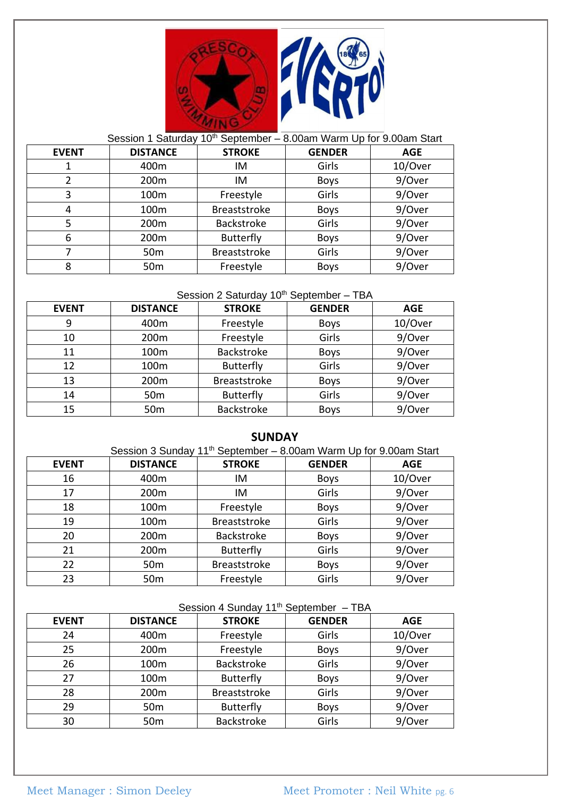

#### Session 1 Saturday 10<sup>th</sup> September – 8.00am Warm Up for 9.00am Start **EVENT** DISTANCE

ヿ

| <u>LVLIVI</u> | <b>UIJIAIVLL</b> | JINUNL            | <b>VLIVULIV</b> | <b>AVL</b> |
|---------------|------------------|-------------------|-----------------|------------|
|               | 400m             | IM                | Girls           | 10/Over    |
|               | 200m             | IM                | <b>Boys</b>     | 9/Over     |
| 3             | 100m             | Freestyle         | Girls           | 9/Over     |
| 4             | 100m             | Breaststroke      | <b>Boys</b>     | 9/Over     |
| 5             | 200m             | <b>Backstroke</b> | Girls           | 9/Over     |
| 6             | 200m             | <b>Butterfly</b>  | <b>Boys</b>     | 9/Over     |
|               | 50 <sub>m</sub>  | Breaststroke      | Girls           | 9/Over     |
| 8             | 50 <sub>m</sub>  | Freestyle         | <b>Boys</b>     | 9/Over     |
|               |                  |                   |                 |            |

#### Session 2 Saturday 10<sup>th</sup> September - TBA

| <b>EVENT</b> | <b>DISTANCE</b> | <b>STROKE</b>       | <b>GENDER</b> | <b>AGE</b> |
|--------------|-----------------|---------------------|---------------|------------|
| 9            | 400m            | Freestyle           | <b>Boys</b>   | 10/Over    |
| 10           | 200m            | Freestyle           | Girls         | 9/Over     |
| 11           | 100m            | <b>Backstroke</b>   | <b>Boys</b>   | 9/Over     |
| 12           | 100m            | Butterfly           | Girls         | 9/Over     |
| 13           | 200m            | <b>Breaststroke</b> | <b>Boys</b>   | 9/Over     |
| 14           | 50 <sub>m</sub> | <b>Butterfly</b>    | Girls         | 9/Over     |
| 15           | 50 <sub>m</sub> | <b>Backstroke</b>   | <b>Boys</b>   | 9/Over     |

#### **SUNDAY**

| Session 3 Sunday 11 <sup>th</sup> September - 8.00am Warm Up for 9.00am Start |                  |                     |               |            |  |
|-------------------------------------------------------------------------------|------------------|---------------------|---------------|------------|--|
| <b>EVENT</b>                                                                  | <b>DISTANCE</b>  | <b>STROKE</b>       | <b>GENDER</b> | <b>AGE</b> |  |
| 16                                                                            | 400m             | IM                  | <b>Boys</b>   | 10/Over    |  |
| 17                                                                            | 200 <sub>m</sub> | IM                  | Girls         | 9/Over     |  |
| 18                                                                            | 100 <sub>m</sub> | Freestyle           | <b>Boys</b>   | 9/Over     |  |
| 19                                                                            | 100 <sub>m</sub> | <b>Breaststroke</b> | Girls         | 9/Over     |  |
| 20                                                                            | 200m             | <b>Backstroke</b>   | <b>Boys</b>   | 9/Over     |  |
| 21                                                                            | 200 <sub>m</sub> | <b>Butterfly</b>    | Girls         | 9/Over     |  |
| 22                                                                            | 50 <sub>m</sub>  | <b>Breaststroke</b> | <b>Boys</b>   | 9/Over     |  |
| 23                                                                            | 50 <sub>m</sub>  | Freestyle           | Girls         | 9/Over     |  |

### Session 4 Sunday  $11^{th}$  September – TBA

| <b>EVENT</b> | <b>DISTANCE</b>  | <b>STROKE</b>       | <b>GENDER</b> | <b>AGE</b> |
|--------------|------------------|---------------------|---------------|------------|
| 24           | 400m             | Freestyle           | Girls         | 10/Over    |
| 25           | 200 <sub>m</sub> | Freestyle           | <b>Boys</b>   | 9/Over     |
| 26           | 100m             | Backstroke          | Girls         | 9/Over     |
| 27           | 100m             | <b>Butterfly</b>    | <b>Boys</b>   | 9/Over     |
| 28           | 200m             | <b>Breaststroke</b> | Girls         | 9/Over     |
| 29           | 50 <sub>m</sub>  | Butterfly           | <b>Boys</b>   | 9/Over     |
| 30           | 50 <sub>m</sub>  | <b>Backstroke</b>   | Girls         | 9/Over     |